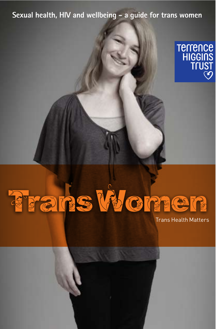#### Sexual health, HIV and wellbeing - a quide for trans women



# Frans Women

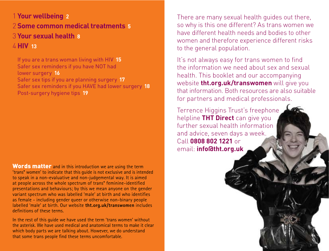1 Your wellbeing 2 2 **Some common medical treatments 5 (3) Your sexual health 8**  $\angle$  HIV 13

If you are a trans woman living with HIV 15 Safer sex reminders if you have NOT had lower surgery 16 Safer sex tips if you are planning surgery 17 Safer sex reminders if you HAVE had lower surgery 18 Post-surgery hygiene tips 19

**Words matter** and in this introduction we are using the term 'trans\* women' to indicate that this guide is not exclusive and is intended to speak in a non-evaluative and non-judgemental way. It is aimed at people across the whole spectrum of trans\* feminine-identified presentations and behaviours; by this we mean anyone on the gender variant spectrum who was labelled 'male' at birth and who identifies as female - including gender queer or otherwise non-binary people labelled 'male' at birth. Our website **tht.org.uk/transwomen** includes definitions of these terms.

In the rest of this guide we have used the term 'trans women' without the asterisk. We have used medical and anatomical terms to make it clear which body parts we are talking about. However, we do understand that some trans people find these terms uncomfortable.

There are many sexual health quides out there. so why is this one different? As trans women we have different health needs and bodies to other women and therefore experience different risks to the general population.

It's not always easy for trans women to find  $\Delta$  the information we need about sex and sexual health. This booklet and our accompanying website **tht.org.uk/transwomen** will give you that information. Both resources are also suitable for partners and medical professionals.

Terrence Higgins Trust's freephone helpline THT Direct can give you  $f(x)$  further sexual health information and advice, seven days a week. Call 0808 802 1221 or email: *infoldtht.org.uk*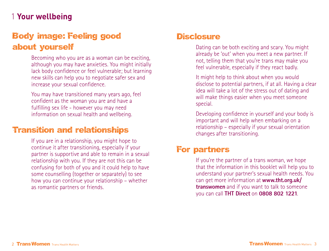# 1 Your wellbeing

# **Body image: Feeling good about yourself**

Becoming who you are as a woman can be exciting, although you may have anxieties. You might initially lack body confidence or feel vulnerable; but learning new skills can help you to negotiate safer sex and increase your sexual confidence.

You may have transitioned many years ago, feel confident as the woman you are and have a fulfilling sex life - however you may need information on sexual health and wellbeing.

#### **Transition and relationships**

If you are in a relationship, you might hope to continue it after transitioning, especially if your partner is supportive and able to remain in a sexual relationship with you. If they are not this can be confusing for both of you and it could help to have some counselling (together or separately) to see how you can continue your relationship – whether as romantic partners or friends.

#### **Disclosure**

Dating can be both exciting and scary. You might already be 'out' when you meet a new partner. If not, telling them that you're trans may make you feel vulnerable, especially if they react badly.

It might help to think about when you would disclose to potential partners, if at all. Having a clear idea will take a lot of the stress out of dating and will make things easier when you meet someone special.

Developing confidence in yourself and your body is important and will help when embarking on a relationship – especially if your sexual orientation changes after transitioning.

#### **For partners**

If you're the partner of a trans woman, we hope that the information in this booklet will help you to understand your partner's sexual health needs. You can get more information at **www.tht.org.uk/ transwomen** and if you want to talk to someone you can call **THT Direct** on **0808 802 1221**.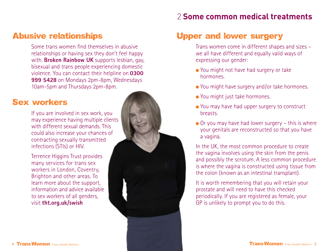#### 2 **Some common medical treatments**

#### **Abusive relationships**

Some trans women find themselves in abusive relationships or having sex they don't feel happy with. **Broken Rainbow UK** supports lesbian, gay, bisexual and trans people experiencing domestic violence. You can contact their helpline on **0300 999 5428** on Mondays 2pm-8pm, Wednesdays 10am-5pm and Thursdays 2pm-8pm.

#### **Sex workers**

If you are involved in sex work, you may experience having multiple clients with different sexual demands. This could also increase your chances of contracting sexually transmitted infections (STIs) or HIV.

Terrence Higgins Trust provides many services for trans sex workers in London, Coventry, Brighton and other areas. To learn more about the support, information and advice available to sex workers of all genders, visit **tht.org.uk/swish**



Trans women come in different shapes and sizes – we all have different and equally valid ways of expressing our gender:

- You might not have had surgery or take hormones.
- You might have surgery and/or take hormones.
- You might just take hormones.
- You may have had upper surgery to construct breasts.
- $\bullet$  Or you may have had lower surgery this is where your genitals are reconstructed so that you have a vagina.

In the UK, the most common procedure to create the vagina involves using the skin from the penis and possibly the scrotum. A less common procedure is where the vagina is constructed using tissue from the colon (known as an intestinal transplant).

It is worth remembering that you will retain your prostate and will need to have this checked periodically. If you are registered as female, your GP is unlikely to prompt you to do this.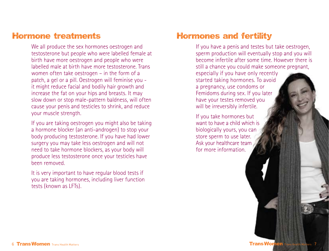#### **Hormone treatments**

We all produce the sex hormones oestrogen and testosterone but people who were labelled female at birth have more oestrogen and people who were labelled male at birth have more testosterone. Trans women often take oestrogen – in the form of a patch, a gel or a pill. Oestrogen will feminise you it might reduce facial and bodily hair growth and increase the fat on your hips and breasts. It may slow down or stop male-pattern baldness, will often cause your penis and testicles to shrink, and reduce your muscle strength.

If you are taking oestrogen you might also be taking a hormone blocker (an anti-androgen) to stop your body producing testosterone. If you have had lower surgery you may take less oestrogen and will not need to take hormone blockers, as your body will produce less testosterone once your testicles have been removed.

It is very important to have regular blood tests if you are taking hormones, including liver function tests (known as LFTs).

#### **Hormones and fertility**

If you have a penis and testes but take oestrogen, sperm production will eventually stop and you will become infertile after some time. However there is still a chance you could make someone pregnant, especially if you have only recently started taking hormones. To avoid a pregnancy, use condoms or Femidoms during sex. If you later have your testes removed you will be irreversibly infertile.

If you take hormones but want to have a child which is biologically yours, you can store sperm to use later. Ask your healthcare team for more information.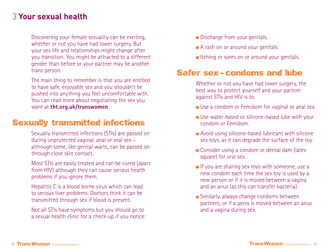## **(3) Your sexual health**

Discovering your female sexuality can be exciting, whether or not you have had lower surgery. But your sex life and relationships might change after you transition. You might be attracted to a different gender than before or your partner may be another trans person.

The main thing to remember is that you are entitled to have safe, enjoyable sex and you shouldn't be pushed into anything you feel uncomfortable with. You can read more about negotiating the sex you want at **tht.org.uk/transwomen**

#### **Sexually transmitted infections**

Sexually transmitted infections (STIs) are passed on during unprotected vaginal, anal or oral sex – although some, like genital warts, can be passed on through close skin contact.

Most STIs are easily treated and can be cured (apart from HIV) although they can cause serious health problems if you ignore them.

Hepatitis C is a blood borne virus which can lead to serious liver problems. Doctors think it can be transmitted through sex if blood is present.

Not all STIs have symptoms but you should go to a sexual health clinic for a check-up if you notice:

- Discharge from your genitals.
- A rash on or around your genitals.
- Itching or sores on or around your genitals.

#### **Safer sex condoms and lube**

Whether or not you have had lower surgery, the best way to protect yourself and your partner against STIs and HIV is to:

- Use a condom or Femidom for vaginal or anal sex.
- Use water-based or silicone-based lube with your condom or Femidom.
- Avoid using silicone-based lubricant with silicone sex toys, as it can degrade the surface of the toy.
- Consider using a condom or dental dam (latex square) for oral sex.
- If you are sharing sex toys with someone, use a new condom each time the sex toy is used by a new person or if it is moved between a vagina and an anus (as this can transfer bacteria).
- Similarly, always change condoms between partners, or if a penis is moved between an anus and a vagina during sex.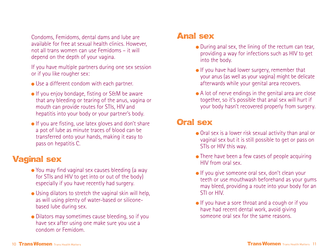Condoms, Femidoms, dental dams and lube are available for free at sexual health clinics. However, not all trans women can use Femidoms – it will depend on the depth of your vagina.

If you have multiple partners during one sex session or if you like rougher sex:

- Use a different condom with each partner.
- If you enjoy bondage, fisting or S&M be aware that any bleeding or tearing of the anus, vagina or mouth can provide routes for STIs, HIV and hepatitis into your body or your partner's body.
- If you are fisting, use latex gloves and don't share a pot of lube as minute traces of blood can be transferred onto your hands, making it easy to pass on hepatitis C.

# **Vaginal sex**

- You may find vaginal sex causes bleeding (a way for STIs and HIV to get into or out of the body) especially if you have recently had surgery.
- Using dilators to stretch the vaginal skin will help, as will using plenty of water-based or siliconebased lube during sex.
- Dilators may sometimes cause bleeding, so if you have sex after using one make sure you use a condom or Femidom.

#### **Anal sex**

- During anal sex, the lining of the rectum can tear, providing a way for infections such as HIV to get into the body.
- If you have had lower surgery, remember that your anus (as well as your vagina) might be delicate afterwards while your genital area recovers.
- A lot of nerve endings in the genital area are close together, so it's possible that anal sex will hurt if your body hasn't recovered properly from surgery.

## **Oral sex**

- Oral sex is a lower risk sexual activity than anal or vaginal sex but it is still possible to get or pass on STIs or HIV this way.
- There have been a few cases of people acquiring HIV from oral sex.
- If you give someone oral sex, don't clean your teeth or use mouthwash beforehand as your gums may bleed, providing a route into your body for an STI or HIV.
- If you have a sore throat and a cough or if you have had recent dental work, avoid giving someone oral sex for the same reasons.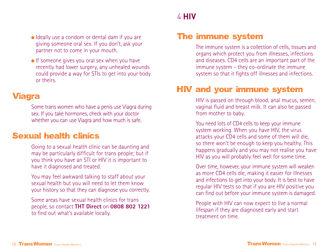Ideally use a condom or dental dam if you are giving someone oral sex. If you don't, ask your partner not to come in your mouth.

 $\bullet$  If someone gives you oral sex when you have recently had lower surgery, any unhealed wounds could provide a way for STIs to get into your body or theirs.

## **Viagra**

Some trans women who have a penis use Viagra during sex. If you take hormones, check with your doctor whether you can use Viagra and how much is safe.

## **Sexual health clinics**

Going to a sexual health clinic can be daunting and may be particularly difficult for trans people; but if you think you have an STI or HIV it is important to have it diagnosed and treated.

You may feel awkward talking to staff about your sexual health but you will need to let them know your history so that they can diagnose you correctly.

Some areas have sexual health clinics for trans people, so contact **THT Direct** on **0808 802 1221** to find out what's available locally.

# )**>?L**

# **The immune system**

The immune system is a collection of cells, tissues and organs which protect you from illnesses, infections and diseases. CD4 cells are an important part of the immune system - they co-ordinate the immune system so that it fights off illnesses and infections.

# **HIV and your immune system**

HIV is passed on through blood, anal mucus, semen, vaginal fluid and breast milk. It can also be passed from mother to baby.

You need lots of CD4 cells to keep your immune system working. When you have HIV, the virus attacks your CD4 cells and some of them will die, so there won't be enough to keep you healthy. This happens gradually and you may not realise you have HIV as you will probably feel well for some time.

Over time, however, your immune system will weaken as more CD4 cells die, making it easier for illnesses and infections to get into your body. It is best to have regular HIV tests so that if you are HIV positive you can find out before your immune system is damaged.

People with HIV can now expect to live a normal lifespan if they are diagnosed early and start treatment on time.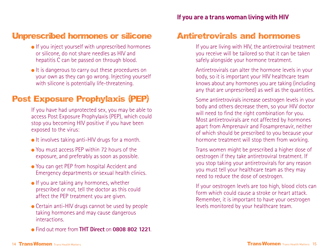- If you inject yourself with unprescribed hormones or silicone, do not share needles as HIV and hepatitis C can be passed on through blood.
- It is dangerous to carry out these procedures on your own as they can go wrong. Injecting yourself with silicone is potentially life-threatening.

# **Post Exposure Prophylaxis (PEP)**

If you have had unprotected sex, you may be able to access Post Exposure Prophylaxis (PEP), which could stop you becoming HIV positive if you have been exposed to the virus:

- $\bullet$  It involves taking anti-HIV drugs for a month.
- You must access PEP within 72 hours of the exposure, and preferably as soon as possible.
- You can get PEP from hospital Accident and Emergency departments or sexual health clinics.
- $\bullet$  If you are taking any hormones, whether prescribed or not, tell the doctor as this could affect the PEP treatment you are given.
- Certain anti-HIV drugs cannot be used by people taking hormones and may cause dangerous **interactions**
- Find out more from **THT Direct** on **0808 802 1221**.

#### **Antiretrovirals and hormones**

If you are living with HIV, the antiretroviral treatment you receive will be tailored so that it can be taken safely alongside your hormone treatment.

Antiretrovirals can alter the hormone levels in your body, so it is important your HIV healthcare team knows about any hormones you are taking (including any that are unprescribed) as well as the quantities.

Some antiretrovirals increase oestrogen levels in your body and others decrease them, so your HIV doctor will need to find the right combination for you. Most antiretrovirals are not affected by hormones apart from Amprenavir and Fosamprenavir, neither of which should be prescribed to you because your hormone treatment will stop them from working.

Trans women might be prescribed a higher dose of oestrogen if they take antiretroviral treatment. If you stop taking your antiretrovirals for any reason you must tell your healthcare team as they may need to reduce the dose of oestrogen.

If your oestrogen levels are too high, blood clots can form which could cause a stroke or heart attack. Remember, it is important to have your oestrogen levels monitored by your healthcare team.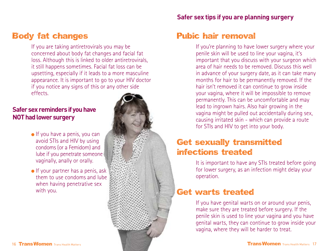#### **Body fat changes**

If you are taking antiretrovirals you may be concerned about body fat changes and facial fat loss. Although this is linked to older antiretrovirals, it still happens sometimes. Facial fat loss can be upsetting, especially if it leads to a more masculine appearance. It is important to go to your HIV doctor if you notice any signs of this or any other side effects.

#### **I**Safer sex reminders if you have **NOT had lower surgery**

- $\bullet$  If you have a penis, you can avoid STIs and HIV by using condoms (or a Femidom) and lube if you penetrate someone vaginally, anally or orally.
- $\bullet$  If your partner has a penis, ask them to use condoms and lube when having penetrative sex with you.



#### **Interalle Safer sex tips if you are planning surgery**

#### **Pubic hair removal**

If you're planning to have lower surgery where your penile skin will be used to line your vagina, it's important that you discuss with your surgeon which area of hair needs to be removed. Discuss this well in advance of your surgery date, as it can take many months for hair to be permanently removed. If the hair isn't removed it can continue to grow inside your vagina, where it will be impossible to remove permanently. This can be uncomfortable and may lead to ingrown hairs. Also hair growing in the vagina might be pulled out accidentally during sex, causing irritated skin - which can provide a route for STIs and HIV to get into your body.

# **Get sexually transmitted infections treated**

It is important to have any STIs treated before going for lower surgery, as an infection might delay your operation.

## **Get warts treated**

If you have genital warts on or around your penis, make sure they are treated before surgery. If the penile skin is used to line your vagina and you have genital warts, they can continue to grow inside your vagina, where they will be harder to treat.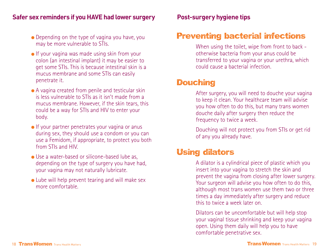#### **If Safer sex reminders if you HAVE had lower surgery example Ferguster Safer Setupes in Post-surgery hygiene tips**

- Depending on the type of vagina you have, you may be more vulnerable to STIs.
- If your vagina was made using skin from your colon (an intestinal implant) it may be easier to get some STIs. This is because intestinal skin is a mucus membrane and some STIs can easily penetrate it.
- A vagina created from penile and testicular skin is less vulnerable to STIs as it isn't made from a mucus membrane. However, if the skin tears, this could be a way for STIs and HIV to enter your body.
- If your partner penetrates your vagina or anus during sex, they should use a condom or you can use a Femidom, if appropriate, to protect you both from STIs and HIV.
- Use a water-based or silicone-based lube as, depending on the type of surgery you have had, your vagina may not naturally lubricate.
- Lube will help prevent tearing and will make sex more comfortable.

#### **Preventing bacterial infections**

When using the toilet, wipe from front to back otherwise bacteria from your anus could be transferred to your vagina or your urethra, which could cause a bacterial infection.

#### **Douching**

After surgery, you will need to douche your vagina to keep it clean. Your healthcare team will advise you how often to do this, but many trans women douche daily after surgery then reduce the frequency to twice a week.

Douching will not protect you from STIs or get rid of any you already have.

#### **Using dilators**

A dilator is a cylindrical piece of plastic which you insert into your vagina to stretch the skin and prevent the vagina from closing after lower surgery. Your surgeon will advise you how often to do this, although most trans women use them two or three times a day immediately after surgery and reduce this to twice a week later on.

Dilators can be uncomfortable but will help stop your vaginal tissue shrinking and keep your vagina open. Using them daily will help you to have comfortable penetrative sex.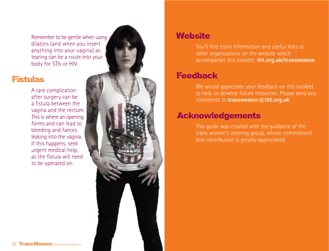Remember to be gentle when using dilators (and when you insert anything into your vagina) as tearing can be a route into your body for STIs or HIV.

#### **Fistulas**

A rare complication after surgery can be a fistula between the vagina and the rectum. This is where an opening forms and can lead to bleeding and faeces leaking into the vagina. If this happens, seek urgent medical help, as the fistula will need to be operated on.



# **Website**

You'll find extra information and useful links to other organisations on the website which accompanies this booklet: **tht.org.uk/transwomen**

# **Feedback**

We would appreciate your feedback on this booklet to help us develop future resources. Please send any comments to **transwomen@tht.org.uk**

# **Acknowledgements**

This guide was created with the guidance of the trans women's steering group, whose commitment and contribution is greatly appreciated.